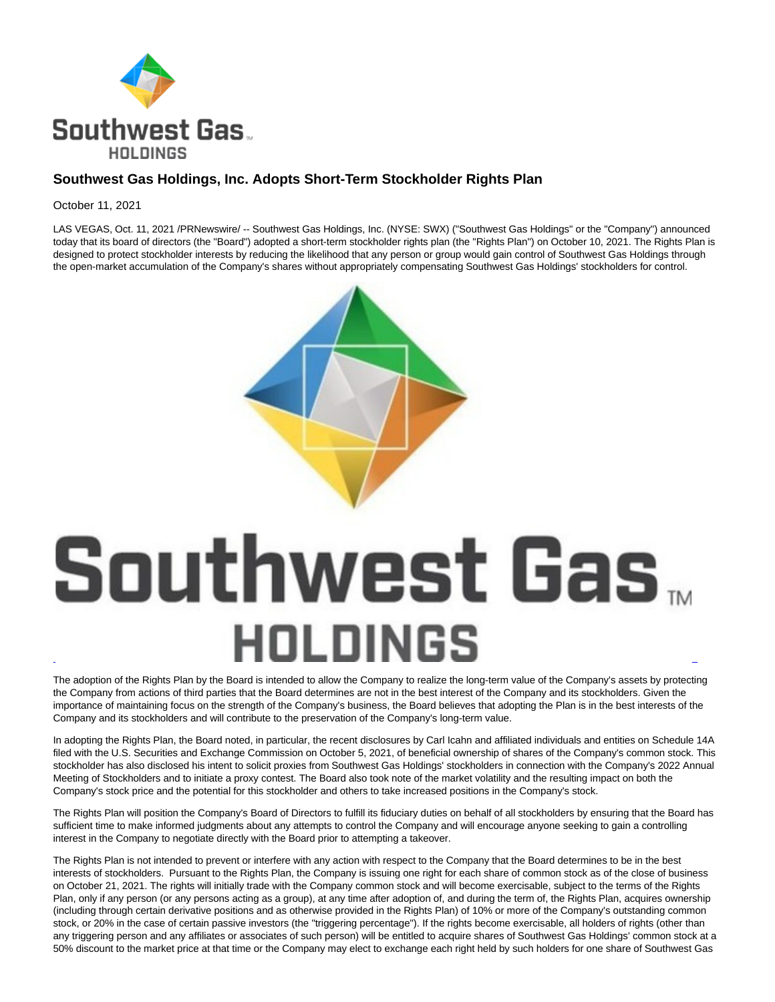

# **Southwest Gas Holdings, Inc. Adopts Short-Term Stockholder Rights Plan**

# October 11, 2021

LAS VEGAS, Oct. 11, 2021 /PRNewswire/ -- Southwest Gas Holdings, Inc. (NYSE: SWX) ("Southwest Gas Holdings" or the "Company") announced today that its board of directors (the "Board") adopted a short-term stockholder rights plan (the "Rights Plan") on October 10, 2021. The Rights Plan is designed to protect stockholder interests by reducing the likelihood that any person or group would gain control of Southwest Gas Holdings through the open-market accumulation of the Company's shares without appropriately compensating Southwest Gas Holdings' stockholders for control.

# Southwest Gas... **HOLDINGS** L

The adoption of the Rights Plan by the Board is intended to allow the Company to realize the long-term value of the Company's assets by protecting the Company from actions of third parties that the Board determines are not in the best interest of the Company and its stockholders. Given the importance of maintaining focus on the strength of the Company's business, the Board believes that adopting the Plan is in the best interests of the Company and its stockholders and will contribute to the preservation of the Company's long-term value.

In adopting the Rights Plan, the Board noted, in particular, the recent disclosures by Carl Icahn and affiliated individuals and entities on Schedule 14A filed with the U.S. Securities and Exchange Commission on October 5, 2021, of beneficial ownership of shares of the Company's common stock. This stockholder has also disclosed his intent to solicit proxies from Southwest Gas Holdings' stockholders in connection with the Company's 2022 Annual Meeting of Stockholders and to initiate a proxy contest. The Board also took note of the market volatility and the resulting impact on both the Company's stock price and the potential for this stockholder and others to take increased positions in the Company's stock.

The Rights Plan will position the Company's Board of Directors to fulfill its fiduciary duties on behalf of all stockholders by ensuring that the Board has sufficient time to make informed judgments about any attempts to control the Company and will encourage anyone seeking to gain a controlling interest in the Company to negotiate directly with the Board prior to attempting a takeover.

The Rights Plan is not intended to prevent or interfere with any action with respect to the Company that the Board determines to be in the best interests of stockholders. Pursuant to the Rights Plan, the Company is issuing one right for each share of common stock as of the close of business on October 21, 2021. The rights will initially trade with the Company common stock and will become exercisable, subject to the terms of the Rights Plan, only if any person (or any persons acting as a group), at any time after adoption of, and during the term of, the Rights Plan, acquires ownership (including through certain derivative positions and as otherwise provided in the Rights Plan) of 10% or more of the Company's outstanding common stock, or 20% in the case of certain passive investors (the "triggering percentage"). If the rights become exercisable, all holders of rights (other than any triggering person and any affiliates or associates of such person) will be entitled to acquire shares of Southwest Gas Holdings' common stock at a 50% discount to the market price at that time or the Company may elect to exchange each right held by such holders for one share of Southwest Gas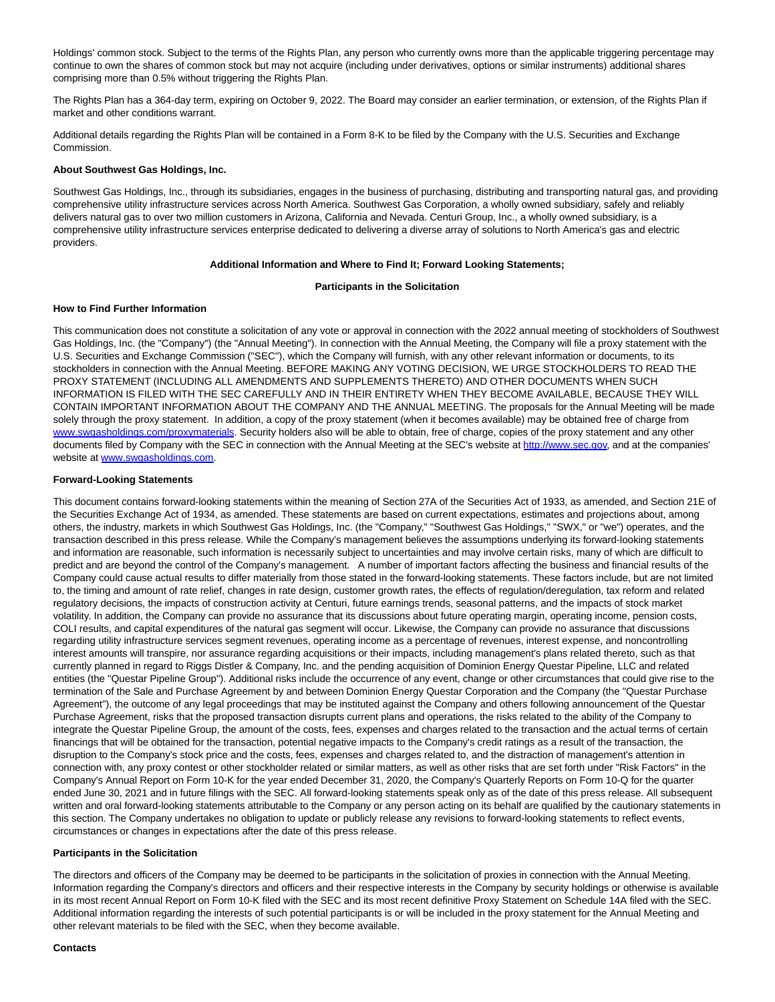Holdings' common stock. Subject to the terms of the Rights Plan, any person who currently owns more than the applicable triggering percentage may continue to own the shares of common stock but may not acquire (including under derivatives, options or similar instruments) additional shares comprising more than 0.5% without triggering the Rights Plan.

The Rights Plan has a 364-day term, expiring on October 9, 2022. The Board may consider an earlier termination, or extension, of the Rights Plan if market and other conditions warrant.

Additional details regarding the Rights Plan will be contained in a Form 8-K to be filed by the Company with the U.S. Securities and Exchange Commission.

## **About Southwest Gas Holdings, Inc.**

Southwest Gas Holdings, Inc., through its subsidiaries, engages in the business of purchasing, distributing and transporting natural gas, and providing comprehensive utility infrastructure services across North America. Southwest Gas Corporation, a wholly owned subsidiary, safely and reliably delivers natural gas to over two million customers in Arizona, California and Nevada. Centuri Group, Inc., a wholly owned subsidiary, is a comprehensive utility infrastructure services enterprise dedicated to delivering a diverse array of solutions to North America's gas and electric providers.

# **Additional Information and Where to Find It; Forward Looking Statements;**

# **Participants in the Solicitation**

# **How to Find Further Information**

This communication does not constitute a solicitation of any vote or approval in connection with the 2022 annual meeting of stockholders of Southwest Gas Holdings, Inc. (the "Company") (the "Annual Meeting"). In connection with the Annual Meeting, the Company will file a proxy statement with the U.S. Securities and Exchange Commission ("SEC"), which the Company will furnish, with any other relevant information or documents, to its stockholders in connection with the Annual Meeting. BEFORE MAKING ANY VOTING DECISION, WE URGE STOCKHOLDERS TO READ THE PROXY STATEMENT (INCLUDING ALL AMENDMENTS AND SUPPLEMENTS THERETO) AND OTHER DOCUMENTS WHEN SUCH INFORMATION IS FILED WITH THE SEC CAREFULLY AND IN THEIR ENTIRETY WHEN THEY BECOME AVAILABLE, BECAUSE THEY WILL CONTAIN IMPORTANT INFORMATION ABOUT THE COMPANY AND THE ANNUAL MEETING. The proposals for the Annual Meeting will be made solely through the proxy statement. In addition, a copy of the proxy statement (when it becomes available) may be obtained free of charge from www.swgasholdings.com/proxymaterials</u>. Security holders also will be able to obtain, free of charge, copies of the proxy statement and any other documents filed by Company with the SEC in connection with the Annual Meeting at the SEC's website at [http://www.sec.gov,](https://c212.net/c/link/?t=0&l=en&o=3318526-1&h=2162483997&u=http%3A%2F%2Fwww.sec.gov%2F&a=http%3A%2F%2Fwww.sec.gov) and at the companies' website at [www.swgasholdings.com.](https://c212.net/c/link/?t=0&l=en&o=3318526-1&h=3260450803&u=http%3A%2F%2Fwww.swgasholdings.com%2F&a=www.swgasholdings.com)

# **Forward-Looking Statements**

This document contains forward-looking statements within the meaning of Section 27A of the Securities Act of 1933, as amended, and Section 21E of the Securities Exchange Act of 1934, as amended. These statements are based on current expectations, estimates and projections about, among others, the industry, markets in which Southwest Gas Holdings, Inc. (the "Company," "Southwest Gas Holdings," "SWX," or "we") operates, and the transaction described in this press release. While the Company's management believes the assumptions underlying its forward-looking statements and information are reasonable, such information is necessarily subject to uncertainties and may involve certain risks, many of which are difficult to predict and are beyond the control of the Company's management. A number of important factors affecting the business and financial results of the Company could cause actual results to differ materially from those stated in the forward-looking statements. These factors include, but are not limited to, the timing and amount of rate relief, changes in rate design, customer growth rates, the effects of regulation/deregulation, tax reform and related regulatory decisions, the impacts of construction activity at Centuri, future earnings trends, seasonal patterns, and the impacts of stock market volatility. In addition, the Company can provide no assurance that its discussions about future operating margin, operating income, pension costs, COLI results, and capital expenditures of the natural gas segment will occur. Likewise, the Company can provide no assurance that discussions regarding utility infrastructure services segment revenues, operating income as a percentage of revenues, interest expense, and noncontrolling interest amounts will transpire, nor assurance regarding acquisitions or their impacts, including management's plans related thereto, such as that currently planned in regard to Riggs Distler & Company, Inc. and the pending acquisition of Dominion Energy Questar Pipeline, LLC and related entities (the "Questar Pipeline Group"). Additional risks include the occurrence of any event, change or other circumstances that could give rise to the termination of the Sale and Purchase Agreement by and between Dominion Energy Questar Corporation and the Company (the "Questar Purchase Agreement"), the outcome of any legal proceedings that may be instituted against the Company and others following announcement of the Questar Purchase Agreement, risks that the proposed transaction disrupts current plans and operations, the risks related to the ability of the Company to integrate the Questar Pipeline Group, the amount of the costs, fees, expenses and charges related to the transaction and the actual terms of certain financings that will be obtained for the transaction, potential negative impacts to the Company's credit ratings as a result of the transaction, the disruption to the Company's stock price and the costs, fees, expenses and charges related to, and the distraction of management's attention in connection with, any proxy contest or other stockholder related or similar matters, as well as other risks that are set forth under "Risk Factors" in the Company's Annual Report on Form 10-K for the year ended December 31, 2020, the Company's Quarterly Reports on Form 10-Q for the quarter ended June 30, 2021 and in future filings with the SEC. All forward-looking statements speak only as of the date of this press release. All subsequent written and oral forward-looking statements attributable to the Company or any person acting on its behalf are qualified by the cautionary statements in this section. The Company undertakes no obligation to update or publicly release any revisions to forward-looking statements to reflect events, circumstances or changes in expectations after the date of this press release.

### **Participants in the Solicitation**

The directors and officers of the Company may be deemed to be participants in the solicitation of proxies in connection with the Annual Meeting. Information regarding the Company's directors and officers and their respective interests in the Company by security holdings or otherwise is available in its most recent Annual Report on Form 10-K filed with the SEC and its most recent definitive Proxy Statement on Schedule 14A filed with the SEC. Additional information regarding the interests of such potential participants is or will be included in the proxy statement for the Annual Meeting and other relevant materials to be filed with the SEC, when they become available.